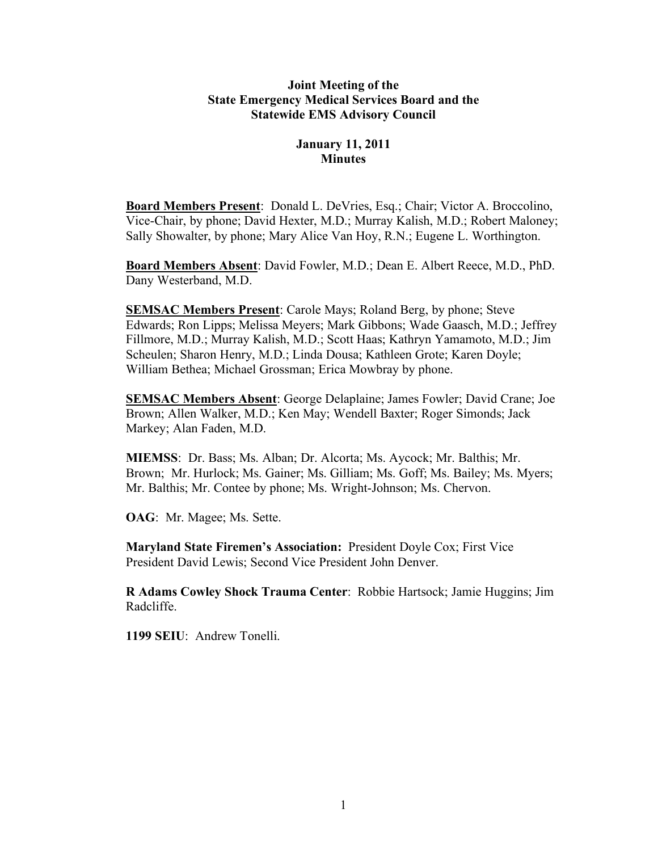## **Joint Meeting of the State Emergency Medical Services Board and the Statewide EMS Advisory Council**

# **January 11, 2011 Minutes**

**Board Members Present**: Donald L. DeVries, Esq.; Chair; Victor A. Broccolino, Vice-Chair, by phone; David Hexter, M.D.; Murray Kalish, M.D.; Robert Maloney; Sally Showalter, by phone; Mary Alice Van Hoy, R.N.; Eugene L. Worthington.

**Board Members Absent**: David Fowler, M.D.; Dean E. Albert Reece, M.D., PhD. Dany Westerband, M.D.

**SEMSAC Members Present**: Carole Mays; Roland Berg, by phone; Steve Edwards; Ron Lipps; Melissa Meyers; Mark Gibbons; Wade Gaasch, M.D.; Jeffrey Fillmore, M.D.; Murray Kalish, M.D.; Scott Haas; Kathryn Yamamoto, M.D.; Jim Scheulen; Sharon Henry, M.D.; Linda Dousa; Kathleen Grote; Karen Doyle; William Bethea; Michael Grossman; Erica Mowbray by phone.

**SEMSAC Members Absent**: George Delaplaine; James Fowler; David Crane; Joe Brown; Allen Walker, M.D.; Ken May; Wendell Baxter; Roger Simonds; Jack Markey; Alan Faden, M.D.

**MIEMSS**: Dr. Bass; Ms. Alban; Dr. Alcorta; Ms. Aycock; Mr. Balthis; Mr. Brown; Mr. Hurlock; Ms. Gainer; Ms. Gilliam; Ms. Goff; Ms. Bailey; Ms. Myers; Mr. Balthis; Mr. Contee by phone; Ms. Wright-Johnson; Ms. Chervon.

**OAG**: Mr. Magee; Ms. Sette.

**Maryland State Firemen's Association:** President Doyle Cox; First Vice President David Lewis; Second Vice President John Denver.

**R Adams Cowley Shock Trauma Center**: Robbie Hartsock; Jamie Huggins; Jim Radcliffe.

**1199 SEIU**: Andrew Tonelli.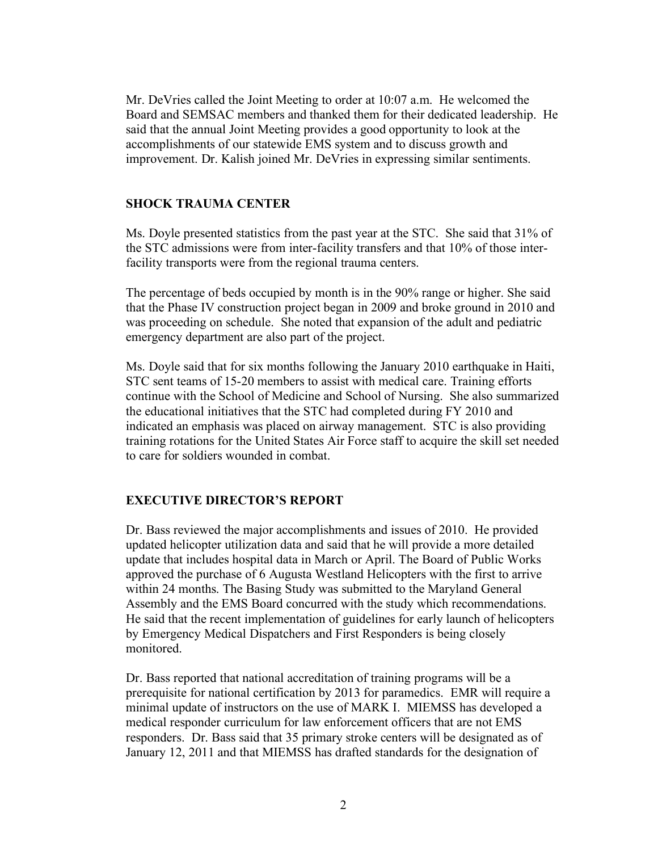Mr. DeVries called the Joint Meeting to order at 10:07 a.m. He welcomed the Board and SEMSAC members and thanked them for their dedicated leadership. He said that the annual Joint Meeting provides a good opportunity to look at the accomplishments of our statewide EMS system and to discuss growth and improvement. Dr. Kalish joined Mr. DeVries in expressing similar sentiments.

#### **SHOCK TRAUMA CENTER**

Ms. Doyle presented statistics from the past year at the STC. She said that 31% of the STC admissions were from inter-facility transfers and that 10% of those interfacility transports were from the regional trauma centers.

The percentage of beds occupied by month is in the 90% range or higher. She said that the Phase IV construction project began in 2009 and broke ground in 2010 and was proceeding on schedule. She noted that expansion of the adult and pediatric emergency department are also part of the project.

Ms. Doyle said that for six months following the January 2010 earthquake in Haiti, STC sent teams of 15-20 members to assist with medical care. Training efforts continue with the School of Medicine and School of Nursing. She also summarized the educational initiatives that the STC had completed during FY 2010 and indicated an emphasis was placed on airway management. STC is also providing training rotations for the United States Air Force staff to acquire the skill set needed to care for soldiers wounded in combat.

#### **EXECUTIVE DIRECTOR'S REPORT**

Dr. Bass reviewed the major accomplishments and issues of 2010. He provided updated helicopter utilization data and said that he will provide a more detailed update that includes hospital data in March or April. The Board of Public Works approved the purchase of 6 Augusta Westland Helicopters with the first to arrive within 24 months. The Basing Study was submitted to the Maryland General Assembly and the EMS Board concurred with the study which recommendations. He said that the recent implementation of guidelines for early launch of helicopters by Emergency Medical Dispatchers and First Responders is being closely monitored.

Dr. Bass reported that national accreditation of training programs will be a prerequisite for national certification by 2013 for paramedics. EMR will require a minimal update of instructors on the use of MARK I. MIEMSS has developed a medical responder curriculum for law enforcement officers that are not EMS responders. Dr. Bass said that 35 primary stroke centers will be designated as of January 12, 2011 and that MIEMSS has drafted standards for the designation of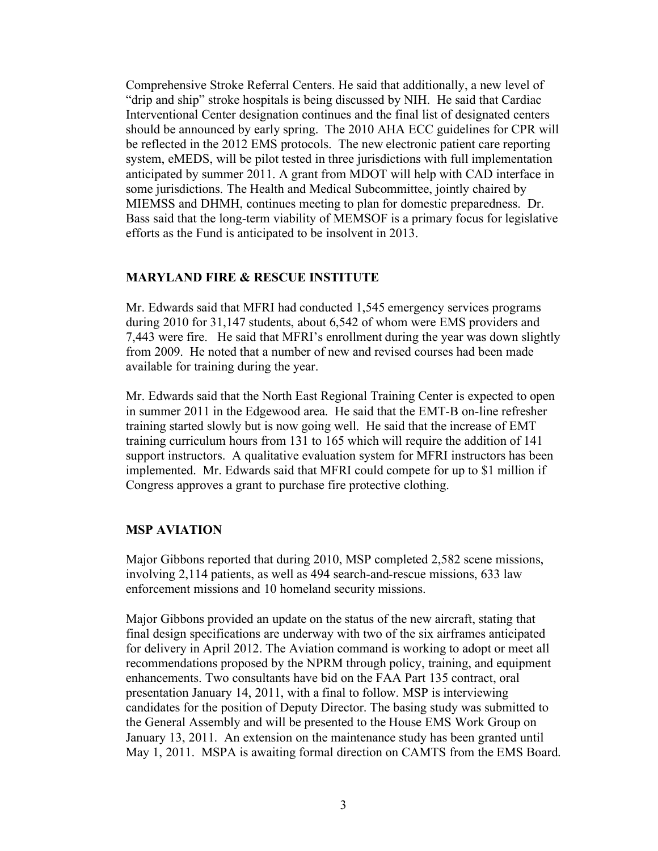Comprehensive Stroke Referral Centers. He said that additionally, a new level of "drip and ship" stroke hospitals is being discussed by NIH. He said that Cardiac Interventional Center designation continues and the final list of designated centers should be announced by early spring. The 2010 AHA ECC guidelines for CPR will be reflected in the 2012 EMS protocols. The new electronic patient care reporting system, eMEDS, will be pilot tested in three jurisdictions with full implementation anticipated by summer 2011. A grant from MDOT will help with CAD interface in some jurisdictions. The Health and Medical Subcommittee, jointly chaired by MIEMSS and DHMH, continues meeting to plan for domestic preparedness. Dr. Bass said that the long-term viability of MEMSOF is a primary focus for legislative efforts as the Fund is anticipated to be insolvent in 2013.

## **MARYLAND FIRE & RESCUE INSTITUTE**

Mr. Edwards said that MFRI had conducted 1,545 emergency services programs during 2010 for 31,147 students, about 6,542 of whom were EMS providers and 7,443 were fire. He said that MFRI's enrollment during the year was down slightly from 2009. He noted that a number of new and revised courses had been made available for training during the year.

Mr. Edwards said that the North East Regional Training Center is expected to open in summer 2011 in the Edgewood area. He said that the EMT-B on-line refresher training started slowly but is now going well. He said that the increase of EMT training curriculum hours from 131 to 165 which will require the addition of 141 support instructors. A qualitative evaluation system for MFRI instructors has been implemented. Mr. Edwards said that MFRI could compete for up to \$1 million if Congress approves a grant to purchase fire protective clothing.

#### **MSP AVIATION**

Major Gibbons reported that during 2010, MSP completed 2,582 scene missions, involving 2,114 patients, as well as 494 search-and-rescue missions, 633 law enforcement missions and 10 homeland security missions.

Major Gibbons provided an update on the status of the new aircraft, stating that final design specifications are underway with two of the six airframes anticipated for delivery in April 2012. The Aviation command is working to adopt or meet all recommendations proposed by the NPRM through policy, training, and equipment enhancements. Two consultants have bid on the FAA Part 135 contract, oral presentation January 14, 2011, with a final to follow. MSP is interviewing candidates for the position of Deputy Director. The basing study was submitted to the General Assembly and will be presented to the House EMS Work Group on January 13, 2011. An extension on the maintenance study has been granted until May 1, 2011. MSPA is awaiting formal direction on CAMTS from the EMS Board.